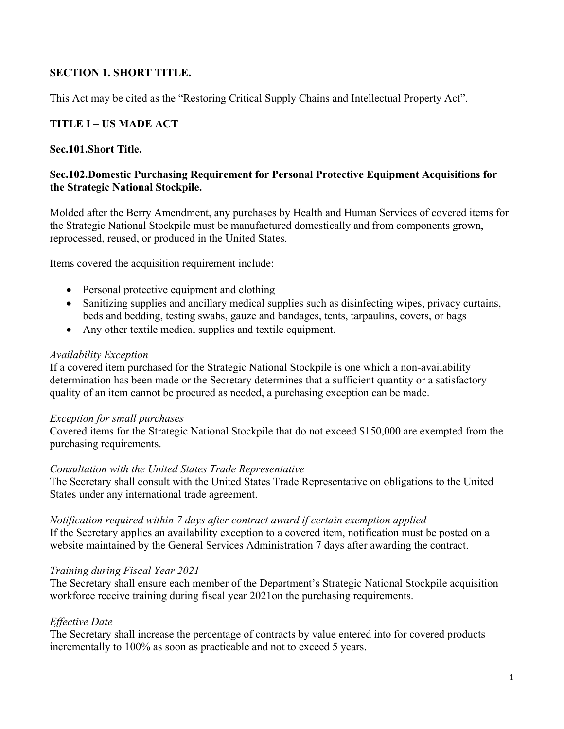## **SECTION 1. SHORT TITLE.**

This Act may be cited as the "Restoring Critical Supply Chains and Intellectual Property Act".

## **TITLE I – US MADE ACT**

### **Sec.101.Short Title.**

### **Sec.102.Domestic Purchasing Requirement for Personal Protective Equipment Acquisitions for the Strategic National Stockpile.**

Molded after the Berry Amendment, any purchases by Health and Human Services of covered items for the Strategic National Stockpile must be manufactured domestically and from components grown, reprocessed, reused, or produced in the United States.

Items covered the acquisition requirement include:

- Personal protective equipment and clothing
- Sanitizing supplies and ancillary medical supplies such as disinfecting wipes, privacy curtains, beds and bedding, testing swabs, gauze and bandages, tents, tarpaulins, covers, or bags
- Any other textile medical supplies and textile equipment.

### *Availability Exception*

If a covered item purchased for the Strategic National Stockpile is one which a non-availability determination has been made or the Secretary determines that a sufficient quantity or a satisfactory quality of an item cannot be procured as needed, a purchasing exception can be made.

#### *Exception for small purchases*

Covered items for the Strategic National Stockpile that do not exceed \$150,000 are exempted from the purchasing requirements.

#### *Consultation with the United States Trade Representative*

The Secretary shall consult with the United States Trade Representative on obligations to the United States under any international trade agreement.

### *Notification required within 7 days after contract award if certain exemption applied* If the Secretary applies an availability exception to a covered item, notification must be posted on a website maintained by the General Services Administration 7 days after awarding the contract.

### *Training during Fiscal Year 2021*

The Secretary shall ensure each member of the Department's Strategic National Stockpile acquisition workforce receive training during fiscal year 2021on the purchasing requirements.

### *Effective Date*

The Secretary shall increase the percentage of contracts by value entered into for covered products incrementally to 100% as soon as practicable and not to exceed 5 years.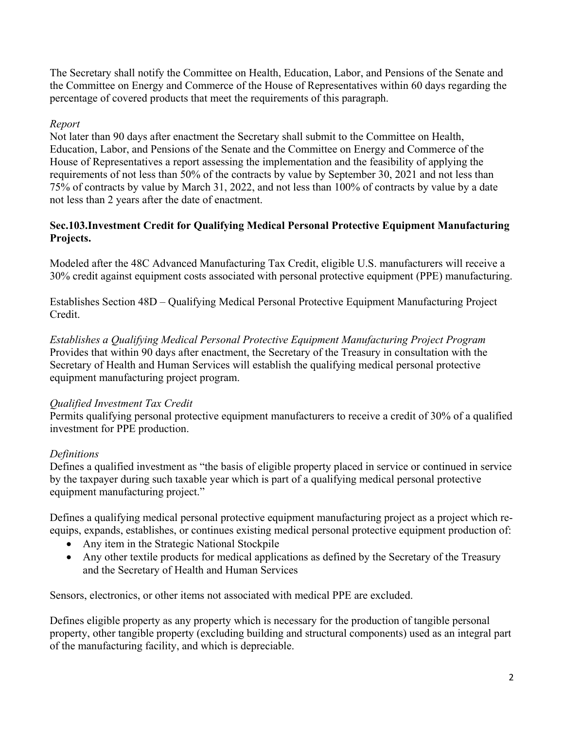The Secretary shall notify the Committee on Health, Education, Labor, and Pensions of the Senate and the Committee on Energy and Commerce of the House of Representatives within 60 days regarding the percentage of covered products that meet the requirements of this paragraph.

## *Report*

Not later than 90 days after enactment the Secretary shall submit to the Committee on Health, Education, Labor, and Pensions of the Senate and the Committee on Energy and Commerce of the House of Representatives a report assessing the implementation and the feasibility of applying the requirements of not less than 50% of the contracts by value by September 30, 2021 and not less than 75% of contracts by value by March 31, 2022, and not less than 100% of contracts by value by a date not less than 2 years after the date of enactment.

## **Sec.103.Investment Credit for Qualifying Medical Personal Protective Equipment Manufacturing Projects.**

Modeled after the 48C Advanced Manufacturing Tax Credit, eligible U.S. manufacturers will receive a 30% credit against equipment costs associated with personal protective equipment (PPE) manufacturing.

Establishes Section 48D – Qualifying Medical Personal Protective Equipment Manufacturing Project Credit.

*Establishes a Qualifying Medical Personal Protective Equipment Manufacturing Project Program* Provides that within 90 days after enactment, the Secretary of the Treasury in consultation with the Secretary of Health and Human Services will establish the qualifying medical personal protective equipment manufacturing project program.

## *Qualified Investment Tax Credit*

Permits qualifying personal protective equipment manufacturers to receive a credit of 30% of a qualified investment for PPE production.

# *Definitions*

Defines a qualified investment as "the basis of eligible property placed in service or continued in service by the taxpayer during such taxable year which is part of a qualifying medical personal protective equipment manufacturing project."

Defines a qualifying medical personal protective equipment manufacturing project as a project which reequips, expands, establishes, or continues existing medical personal protective equipment production of:

- Any item in the Strategic National Stockpile
- Any other textile products for medical applications as defined by the Secretary of the Treasury and the Secretary of Health and Human Services

Sensors, electronics, or other items not associated with medical PPE are excluded.

Defines eligible property as any property which is necessary for the production of tangible personal property, other tangible property (excluding building and structural components) used as an integral part of the manufacturing facility, and which is depreciable.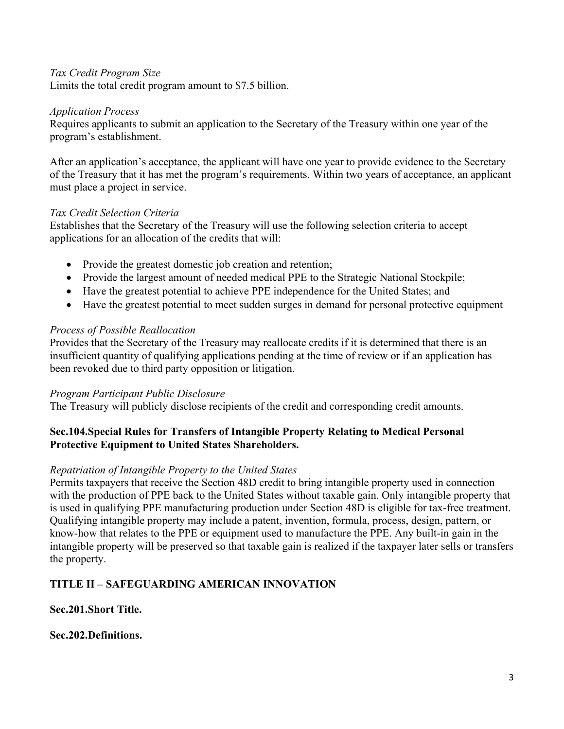### *Tax Credit Program Size*

Limits the total credit program amount to \$7.5 billion.

### *Application Process*

Requires applicants to submit an application to the Secretary of the Treasury within one year of the program's establishment.

After an application's acceptance, the applicant will have one year to provide evidence to the Secretary of the Treasury that it has met the program's requirements. Within two years of acceptance, an applicant must place a project in service.

### *Tax Credit Selection Criteria*

Establishes that the Secretary of the Treasury will use the following selection criteria to accept applications for an allocation of the credits that will:

- Provide the greatest domestic job creation and retention;
- Provide the largest amount of needed medical PPE to the Strategic National Stockpile;
- Have the greatest potential to achieve PPE independence for the United States; and
- Have the greatest potential to meet sudden surges in demand for personal protective equipment

### *Process of Possible Reallocation*

Provides that the Secretary of the Treasury may reallocate credits if it is determined that there is an insufficient quantity of qualifying applications pending at the time of review or if an application has been revoked due to third party opposition or litigation.

### *Program Participant Public Disclosure*

The Treasury will publicly disclose recipients of the credit and corresponding credit amounts.

## **Sec.104.Special Rules for Transfers of Intangible Property Relating to Medical Personal Protective Equipment to United States Shareholders.**

## *Repatriation of Intangible Property to the United States*

Permits taxpayers that receive the Section 48D credit to bring intangible property used in connection with the production of PPE back to the United States without taxable gain. Only intangible property that is used in qualifying PPE manufacturing production under Section 48D is eligible for tax-free treatment. Qualifying intangible property may include a patent, invention, formula, process, design, pattern, or know-how that relates to the PPE or equipment used to manufacture the PPE. Any built-in gain in the intangible property will be preserved so that taxable gain is realized if the taxpayer later sells or transfers the property.

# **TITLE II – SAFEGUARDING AMERICAN INNOVATION**

## **Sec.201.Short Title.**

## **Sec.202.Definitions.**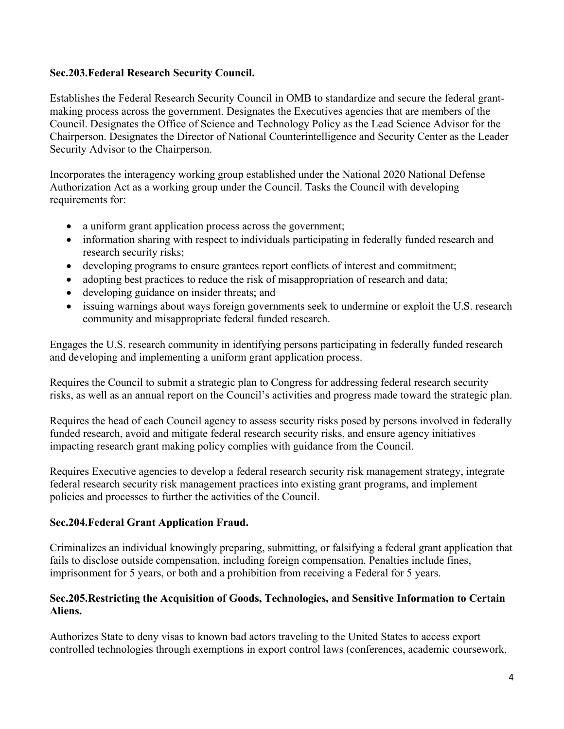## **Sec.203.Federal Research Security Council.**

Establishes the Federal Research Security Council in OMB to standardize and secure the federal grantmaking process across the government. Designates the Executives agencies that are members of the Council. Designates the Office of Science and Technology Policy as the Lead Science Advisor for the Chairperson. Designates the Director of National Counterintelligence and Security Center as the Leader Security Advisor to the Chairperson.

Incorporates the interagency working group established under the National 2020 National Defense Authorization Act as a working group under the Council. Tasks the Council with developing requirements for:

- a uniform grant application process across the government;
- information sharing with respect to individuals participating in federally funded research and research security risks;
- developing programs to ensure grantees report conflicts of interest and commitment;
- adopting best practices to reduce the risk of misappropriation of research and data;
- developing guidance on insider threats; and
- issuing warnings about ways foreign governments seek to undermine or exploit the U.S. research community and misappropriate federal funded research.

Engages the U.S. research community in identifying persons participating in federally funded research and developing and implementing a uniform grant application process.

Requires the Council to submit a strategic plan to Congress for addressing federal research security risks, as well as an annual report on the Council's activities and progress made toward the strategic plan.

Requires the head of each Council agency to assess security risks posed by persons involved in federally funded research, avoid and mitigate federal research security risks, and ensure agency initiatives impacting research grant making policy complies with guidance from the Council.

Requires Executive agencies to develop a federal research security risk management strategy, integrate federal research security risk management practices into existing grant programs, and implement policies and processes to further the activities of the Council.

# **Sec.204.Federal Grant Application Fraud.**

Criminalizes an individual knowingly preparing, submitting, or falsifying a federal grant application that fails to disclose outside compensation, including foreign compensation. Penalties include fines, imprisonment for 5 years, or both and a prohibition from receiving a Federal for 5 years.

## **Sec.205.Restricting the Acquisition of Goods, Technologies, and Sensitive Information to Certain Aliens.**

Authorizes State to deny visas to known bad actors traveling to the United States to access export controlled technologies through exemptions in export control laws (conferences, academic coursework,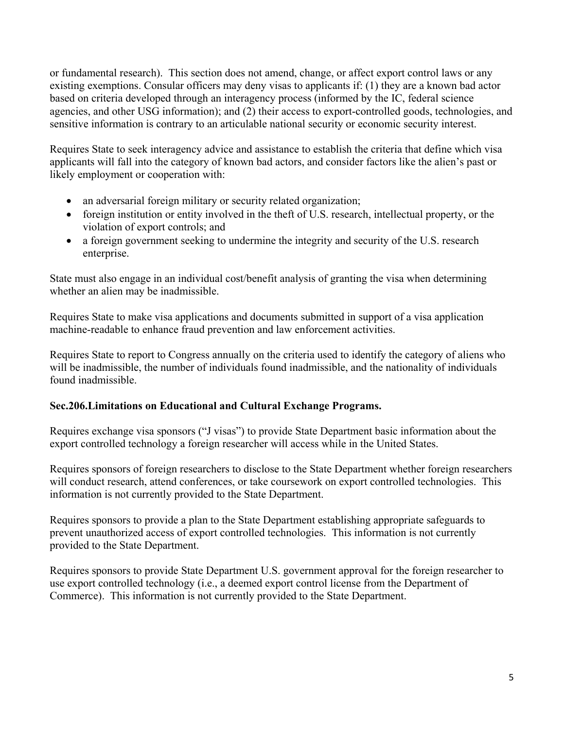or fundamental research). This section does not amend, change, or affect export control laws or any existing exemptions. Consular officers may deny visas to applicants if: (1) they are a known bad actor based on criteria developed through an interagency process (informed by the IC, federal science agencies, and other USG information); and (2) their access to export-controlled goods, technologies, and sensitive information is contrary to an articulable national security or economic security interest.

Requires State to seek interagency advice and assistance to establish the criteria that define which visa applicants will fall into the category of known bad actors, and consider factors like the alien's past or likely employment or cooperation with:

- an adversarial foreign military or security related organization;
- foreign institution or entity involved in the theft of U.S. research, intellectual property, or the violation of export controls; and
- a foreign government seeking to undermine the integrity and security of the U.S. research enterprise.

State must also engage in an individual cost/benefit analysis of granting the visa when determining whether an alien may be inadmissible.

Requires State to make visa applications and documents submitted in support of a visa application machine-readable to enhance fraud prevention and law enforcement activities.

Requires State to report to Congress annually on the criteria used to identify the category of aliens who will be inadmissible, the number of individuals found inadmissible, and the nationality of individuals found inadmissible.

# **Sec.206.Limitations on Educational and Cultural Exchange Programs.**

Requires exchange visa sponsors ("J visas") to provide State Department basic information about the export controlled technology a foreign researcher will access while in the United States.

Requires sponsors of foreign researchers to disclose to the State Department whether foreign researchers will conduct research, attend conferences, or take coursework on export controlled technologies. This information is not currently provided to the State Department.

Requires sponsors to provide a plan to the State Department establishing appropriate safeguards to prevent unauthorized access of export controlled technologies. This information is not currently provided to the State Department.

Requires sponsors to provide State Department U.S. government approval for the foreign researcher to use export controlled technology (i.e., a deemed export control license from the Department of Commerce). This information is not currently provided to the State Department.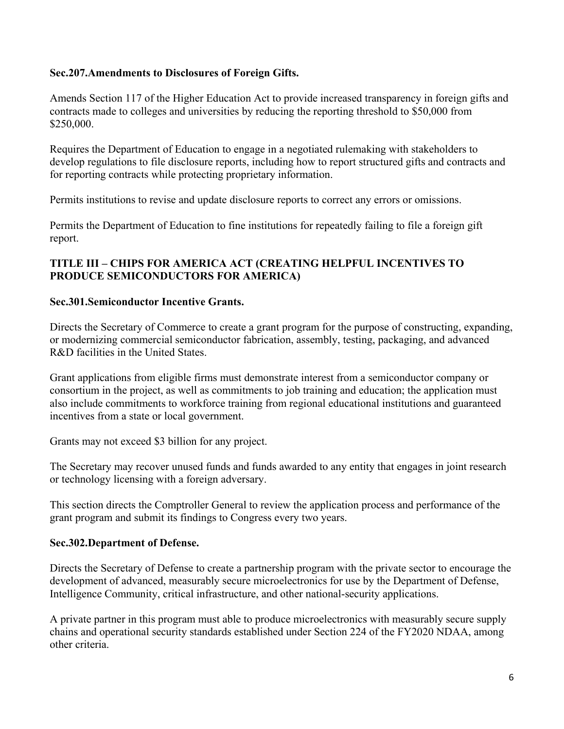## **Sec.207.Amendments to Disclosures of Foreign Gifts.**

Amends Section 117 of the Higher Education Act to provide increased transparency in foreign gifts and contracts made to colleges and universities by reducing the reporting threshold to \$50,000 from \$250,000.

Requires the Department of Education to engage in a negotiated rulemaking with stakeholders to develop regulations to file disclosure reports, including how to report structured gifts and contracts and for reporting contracts while protecting proprietary information.

Permits institutions to revise and update disclosure reports to correct any errors or omissions.

Permits the Department of Education to fine institutions for repeatedly failing to file a foreign gift report.

## **TITLE III – CHIPS FOR AMERICA ACT (CREATING HELPFUL INCENTIVES TO PRODUCE SEMICONDUCTORS FOR AMERICA)**

## **Sec.301.Semiconductor Incentive Grants.**

Directs the Secretary of Commerce to create a grant program for the purpose of constructing, expanding, or modernizing commercial semiconductor fabrication, assembly, testing, packaging, and advanced R&D facilities in the United States.

Grant applications from eligible firms must demonstrate interest from a semiconductor company or consortium in the project, as well as commitments to job training and education; the application must also include commitments to workforce training from regional educational institutions and guaranteed incentives from a state or local government.

Grants may not exceed \$3 billion for any project.

The Secretary may recover unused funds and funds awarded to any entity that engages in joint research or technology licensing with a foreign adversary.

This section directs the Comptroller General to review the application process and performance of the grant program and submit its findings to Congress every two years.

## **Sec.302.Department of Defense.**

Directs the Secretary of Defense to create a partnership program with the private sector to encourage the development of advanced, measurably secure microelectronics for use by the Department of Defense, Intelligence Community, critical infrastructure, and other national-security applications.

A private partner in this program must able to produce microelectronics with measurably secure supply chains and operational security standards established under Section 224 of the FY2020 NDAA, among other criteria.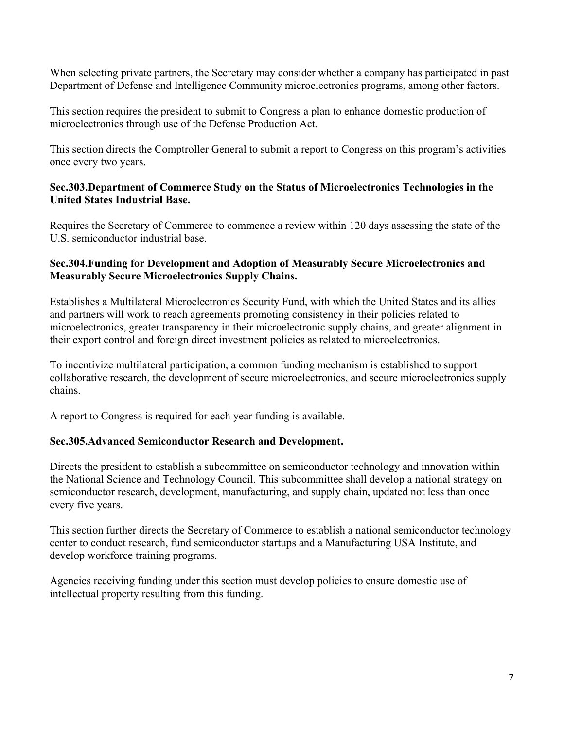When selecting private partners, the Secretary may consider whether a company has participated in past Department of Defense and Intelligence Community microelectronics programs, among other factors.

This section requires the president to submit to Congress a plan to enhance domestic production of microelectronics through use of the Defense Production Act.

This section directs the Comptroller General to submit a report to Congress on this program's activities once every two years.

### **Sec.303.Department of Commerce Study on the Status of Microelectronics Technologies in the United States Industrial Base.**

Requires the Secretary of Commerce to commence a review within 120 days assessing the state of the U.S. semiconductor industrial base.

### **Sec.304.Funding for Development and Adoption of Measurably Secure Microelectronics and Measurably Secure Microelectronics Supply Chains.**

Establishes a Multilateral Microelectronics Security Fund, with which the United States and its allies and partners will work to reach agreements promoting consistency in their policies related to microelectronics, greater transparency in their microelectronic supply chains, and greater alignment in their export control and foreign direct investment policies as related to microelectronics.

To incentivize multilateral participation, a common funding mechanism is established to support collaborative research, the development of secure microelectronics, and secure microelectronics supply chains.

A report to Congress is required for each year funding is available.

## **Sec.305.Advanced Semiconductor Research and Development.**

Directs the president to establish a subcommittee on semiconductor technology and innovation within the National Science and Technology Council. This subcommittee shall develop a national strategy on semiconductor research, development, manufacturing, and supply chain, updated not less than once every five years.

This section further directs the Secretary of Commerce to establish a national semiconductor technology center to conduct research, fund semiconductor startups and a Manufacturing USA Institute, and develop workforce training programs.

Agencies receiving funding under this section must develop policies to ensure domestic use of intellectual property resulting from this funding.